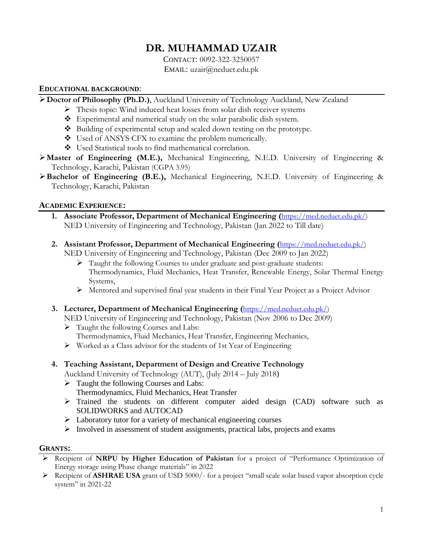# **DR. MUHAMMAD UZAIR**

CONTACT: 0092-322-3250057 EMAIL: uzair@neduet.edu.pk

#### **EDUCATIONAL BACKGROUND**:

**Doctor of Philosophy (Ph.D.)**, Auckland University of Technology Auckland, New Zealand

- $\triangleright$  Thesis topic: Wind induced heat losses from solar dish receiver systems
- \* Experimental and numerical study on the solar parabolic dish system.
- Building of experimental setup and scaled down testing on the prototype.
- Used of ANSYS CFX to examine the problem numerically.
- Used Statistical tools to find mathematical correlation.
- **Master of Engineering (M.E.),** Mechanical Engineering, N.E.D. University of Engineering & Technology, Karachi, Pakistan (CGPA 3.95)
- **Bachelor of Engineering (B.E.),** Mechanical Engineering, N.E.D. University of Engineering & Technology, Karachi, Pakistan

# **ACADEMIC EXPERIENCE:**

- **1. Associate Professor, Department of Mechanical Engineering (**[https://med.neduet.edu.pk/\)](https://med.neduet.edu.pk/) NED University of Engineering and Technology, Pakistan (Jan 2022 to Till date)
- **2. Assistant Professor, Department of Mechanical Engineering (**[https://med.neduet.edu.pk/\)](https://med.neduet.edu.pk/) NED University of Engineering and Technology, Pakistan (Dec 2009 to Jan 2022)
	- $\triangleright$  Taught the following Courses to under graduate and post-graduate students: Thermodynamics, Fluid Mechanics, Heat Transfer, Renewable Energy, Solar Thermal Energy Systems,
	- $\triangleright$  Mentored and supervised final year students in their Final Year Project as a Project Advisor
- **3. Lecturer, Department of Mechanical Engineering (**[https://med.neduet.edu.pk/\)](https://med.neduet.edu.pk/)
	- NED University of Engineering and Technology, Pakistan (Nov 2006 to Dec 2009)
	- $\triangleright$  Taught the following Courses and Labs:
	- Thermodynamics, Fluid Mechanics, Heat Transfer, Engineering Mechanics,
	- Worked as a Class advisor for the students of 1st Year of Engineering

# **4. Teaching Assistant, Department of Design and Creative Technology**

Auckland University of Technology (AUT), (July 2014 – July 2018)

- $\triangleright$  Taught the following Courses and Labs: Thermodynamics, Fluid Mechanics, Heat Transfer
- Trained the students on different computer aided design (CAD) software such as SOLIDWORKS and AUTOCAD
- $\triangleright$  Laboratory tutor for a variety of mechanical engineering courses
- $\triangleright$  Involved in assessment of student assignments, practical labs, projects and exams

### **GRANTS:**

- Recipient of **NRPU by Higher Education of Pakistan** for a project of "Performance Optimization of Energy storage using Phase change materials" in 2022
- Recipient of **ASHRAE USA** grant of USD 5000/- for a project "small scale solar based vapor absorption cycle system" in 2021-22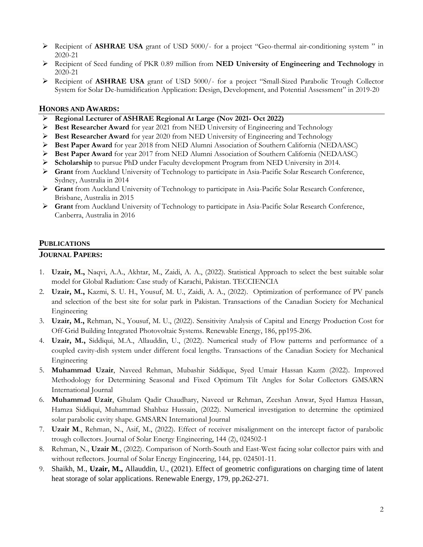- Recipient of **ASHRAE USA** grant of USD 5000/- for a project "Geo-thermal air-conditioning system " in 2020-21
- Recipient of Seed funding of PKR 0.89 million from **NED University of Engineering and Technology** in 2020-21
- Recipient of **ASHRAE USA** grant of USD 5000/- for a project "Small-Sized Parabolic Trough Collector System for Solar De-humidification Application: Design, Development, and Potential Assessment" in 2019-20

#### **HONORS AND AWARDS:**

- **Regional Lecturer of ASHRAE Regional At Large (Nov 2021- Oct 2022)**
- **Best Researcher Award** for year 2021 from NED University of Engineering and Technology
- **Best Researcher Award** for year 2020 from NED University of Engineering and Technology
- **Best Paper Award** for year 2018 from NED Alumni Association of Southern California (NEDAASC)
- **Best Paper Award** for year 2017 from NED Alumni Association of Southern California (NEDAASC)
- **Scholarship** to pursue PhD under Faculty development Program from NED University in 2014.
- **Grant** from Auckland University of Technology to participate in Asia-Pacific Solar Research Conference, Sydney, Australia in 2014
- **Grant** from Auckland University of Technology to participate in Asia-Pacific Solar Research Conference, Brisbane, Australia in 2015
- **Grant** from Auckland University of Technology to participate in Asia-Pacific Solar Research Conference, Canberra, Australia in 2016

#### **PUBLICATIONS**

#### **JOURNAL PAPERS:**

- 1. **Uzair, M.,** Naqvi, A.A., Akhtar, M., Zaidi, A. A., (2022). Statistical Approach to select the best suitable solar model for Global Radiation: Case study of Karachi, Pakistan. TECCIENCIA
- 2. **Uzair, M.,** Kazmi, S. U. H., Yousuf, M. U., Zaidi, A. A., (2022). Optimization of performance of PV panels and selection of the best site for solar park in Pakistan. Transactions of the Canadian Society for Mechanical Engineering
- 3. **Uzair, M.,** Rehman, N., Yousuf, M. U., (2022). Sensitivity Analysis of Capital and Energy Production Cost for Off-Grid Building Integrated Photovoltaic Systems. Renewable Energy, 186, pp195-206.
- 4. **Uzair, M.,** Siddiqui, M.A., Allauddin, U., (2022). Numerical study of Flow patterns and performance of a coupled cavity-dish system under different focal lengths. Transactions of the Canadian Society for Mechanical Engineering
- 5. **Muhammad Uzair**, Naveed Rehman, Mubashir Siddique, Syed Umair Hassan Kazm (2022). Improved Methodology for Determining Seasonal and Fixed Optimum Tilt Angles for Solar Collectors GMSARN International Journal
- 6. **Muhammad Uzair**, Ghulam Qadir Chaudhary, Naveed ur Rehman, Zeeshan Anwar, Syed Hamza Hassan, Hamza Siddiqui, Muhammad Shahbaz Hussain, (2022). Numerical investigation to determine the optimized solar parabolic cavity shape. GMSARN International Journal
- 7. **Uzair M**., Rehman, N., Asif, M., (2022). Effect of receiver misalignment on the intercept factor of parabolic trough collectors. Journal of Solar Energy Engineering, 144 (2), 024502-1
- 8. Rehman, N., **Uzair M**., (2022). Comparison of North-South and East-West facing solar collector pairs with and without reflectors. Journal of Solar Energy Engineering, 144, pp. 024501-11.
- 9. Shaikh, M., **Uzair, M.,** Allauddin, U., (2021). Effect of geometric configurations on charging time of latent heat storage of solar applications. Renewable Energy, 179, pp.262-271.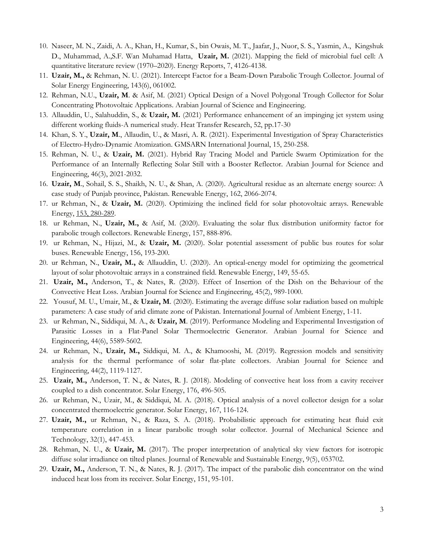- 10. Naseer, M. N., Zaidi, A. A., Khan, H., Kumar, S., bin Owais, M. T., Jaafar, J., [Nuor, S. S.](https://www.sciencedirect.com/science/article/pii/S2352484721004479#!), [Yasmin, A., Kingshuk](https://www.sciencedirect.com/science/article/pii/S2352484721004479#!)  [D., Muhammad, A.,S.F. Wan Muhamad Hatta,](https://www.sciencedirect.com/science/article/pii/S2352484721004479#!) **Uzair, M.** (2021). Mapping the field of microbial fuel cell: A quantitative literature review (1970–2020). Energy Reports, 7, 4126-4138.
- 11. **Uzair, M.,** & Rehman, N. U. (2021). Intercept Factor for a Beam-Down Parabolic Trough Collector. Journal of Solar Energy Engineering, 143(6), 061002.
- 12. Rehman, N.U., **Uzair, M**. & Asif, M. (2021) Optical Design of a Novel Polygonal Trough Collector for Solar Concentrating Photovoltaic Applications. Arabian Journal of Science and Engineering.
- 13. Allauddin, U., Salahuddin, S., & **Uzair, M.** (2021) Performance enhancement of an impinging jet system using different working fluids-A numerical study. Heat Transfer Research, 52, pp.17-30
- 14. Khan, S. Y., **Uzair, M**., Allaudin, U., & Masri, A. R. (2021). Experimental Investigation of Spray Characteristics of Electro-Hydro-Dynamic Atomization. GMSARN International Journal, 15, 250-258.
- 15. Rehman, N. U., & **Uzair, M.** (2021). Hybrid Ray Tracing Model and Particle Swarm Optimization for the Performance of an Internally Reflecting Solar Still with a Booster Reflector. Arabian Journal for Science and Engineering, 46(3), 2021-2032.
- 16. **Uzair, M**., Sohail, S. S., Shaikh, N. U., & Shan, A. (2020). Agricultural residue as an alternate energy source: A case study of Punjab province, Pakistan. Renewable Energy, [162, 2066-2074.](callto:162,%202066-2074)
- 17. ur Rehman, N., & **Uzair, M.** (2020). Optimizing the inclined field for solar photovoltaic arrays. Renewable Energy, [153, 280-289.](callto:153,%20280-289)
- 18. ur Rehman, N., **Uzair, M.,** & Asif, M. (2020). Evaluating the solar flux distribution uniformity factor for parabolic trough collectors. Renewable Energy, 157, 888-896.
- 19. ur Rehman, N., Hijazi, M., & **Uzair, M.** (2020). Solar potential assessment of public bus routes for solar buses. Renewable Energy, 156, 193-200.
- 20. ur Rehman, N., **Uzair, M.,** & Allauddin, U. (2020). An optical-energy model for optimizing the geometrical layout of solar photovoltaic arrays in a constrained field. Renewable Energy, 149, 55-65.
- 21. **Uzair, M.,** Anderson, T., & Nates, R. (2020). Effect of Insertion of the Dish on the Behaviour of the Convective Heat Loss. Arabian Journal for Science and Engineering, [45\(2\), 989-1000.](callto:45(2),%20989-1000)
- 22. Yousuf, M. U., Umair, M., & **Uzair, M**. (2020). Estimating the average diffuse solar radiation based on multiple parameters: A case study of arid climate zone of Pakistan. International Journal of Ambient Energy, 1-11.
- 23. ur Rehman, N., Siddiqui, M. A., & **Uzair, M**. (2019). Performance Modeling and Experimental Investigation of Parasitic Losses in a Flat-Panel Solar Thermoelectric Generator. Arabian Journal for Science and Engineering, [44\(6\), 5589-5602.](callto:44(6),%205589-5602)
- 24. ur Rehman, N., **Uzair, M.,** Siddiqui, M. A., & Khamooshi, M. (2019). Regression models and sensitivity analysis for the thermal performance of solar flat-plate collectors. Arabian Journal for Science and Engineering, [44\(2\), 1119-1127.](callto:44(2),%201119-1127)
- 25. **Uzair, M.,** Anderson, T. N., & Nates, R. J. (2018). Modeling of convective heat loss from a cavity receiver coupled to a dish concentrator. Solar Energy, [176, 496-505.](callto:176,%20496-505)
- 26. ur Rehman, N., Uzair, M., & Siddiqui, M. A. (2018). Optical analysis of a novel collector design for a solar concentrated thermoelectric generator. Solar Energy, [167, 116-124.](callto:167,%20116-124)
- 27. **Uzair, M.,** ur Rehman, N., & Raza, S. A. (2018). Probabilistic approach for estimating heat fluid exit temperature correlation in a linear parabolic trough solar collector. Journal of Mechanical Science and Technology, [32\(1\), 447-453.](callto:32(1),%20447-453)
- 28. Rehman, N. U., & **Uzair, M.** (2017). The proper interpretation of analytical sky view factors for isotropic diffuse solar irradiance on tilted planes. Journal of Renewable and Sustainable Energy, [9\(5\), 053702.](callto:9(5),%20053702)
- 29. **Uzair, M.,** Anderson, T. N., & Nates, R. J. (2017). The impact of the parabolic dish concentrator on the wind induced heat loss from its receiver. Solar Energy, 151, 95-101.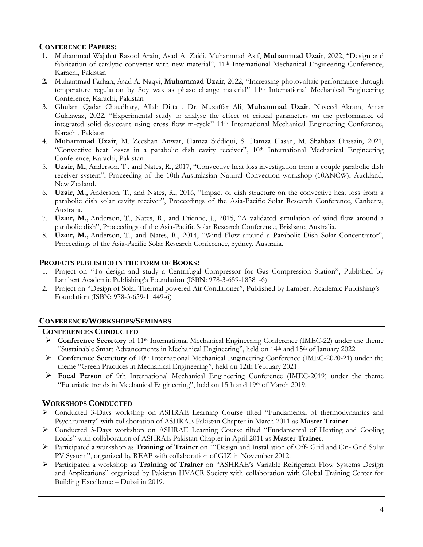# **CONFERENCE PAPERS:**

- **1.** Muhammad Wajahat Rasool Arain, Asad A. Zaidi, Muhammad Asif, **Muhammad Uzair**, 2022, "Design and fabrication of catalytic converter with new material", 11<sup>th</sup> International Mechanical Engineering Conference, Karachi, Pakistan
- **2.** Muhammad Farhan, Asad A. Naqvi, **Muhammad Uzair**, 2022, "Increasing photovoltaic performance through temperature regulation by Soy wax as phase change material" 11th International Mechanical Engineering Conference, Karachi, Pakistan
- 3. Ghulam Qadar Chaudhary, Allah Ditta , Dr. Muzaffar Ali, **Muhammad Uzair**, Naveed Akram, Amar Gulnawaz, 2022, "Experimental study to analyse the effect of critical parameters on the performance of integrated solid desiccant using cross flow m-cycle" 11th International Mechanical Engineering Conference, Karachi, Pakistan
- 4. **Muhammad Uzair**, M. Zeeshan Anwar, Hamza Siddiqui, S. Hamza Hasan, M. Shahbaz Hussain, 2021, "Convective heat losses in a parabolic dish cavity receiver", 10th International Mechanical Engineering Conference, Karachi, Pakistan
- 5. **Uzair, M**., Anderson, T., and Nates, R., 2017, "Convective heat loss investigation from a couple parabolic dish receiver system", Proceeding of the 10th Australasian Natural Convection workshop (10ANCW), Auckland, New Zealand.
- 6. **Uzair, M.,** Anderson, T., and Nates, R., 2016, "Impact of dish structure on the convective heat loss from a parabolic dish solar cavity receiver", Proceedings of the Asia-Pacific Solar Research Conference, Canberra, Australia.
- 7. **Uzair, M.,** Anderson, T., Nates, R., and Etienne, J., 2015, "A validated simulation of wind flow around a parabolic dish", Proceedings of the Asia-Pacific Solar Research Conference, Brisbane, Australia.
- 8. **Uzair, M.,** Anderson, T., and Nates, R., 2014, "Wind Flow around a Parabolic Dish Solar Concentrator", Proceedings of the Asia-Pacific Solar Research Conference, Sydney, Australia.

### **PROJECTS PUBLISHED IN THE FORM OF BOOKS:**

- 1. Project on "To design and study a Centrifugal Compressor for Gas Compression Station", Published by Lambert Academic Publishing's Foundation (ISBN: 978-3-659-18581-6)
- 2. Project on "Design of Solar Thermal powered Air Conditioner", Published by Lambert Academic Publishing's Foundation (ISBN: 978-3-659-11449-6)

### **CONFERENCE/WORKSHOPS/SEMINARS**

### **CONFERENCES CONDUCTED**

- **Conference Secretory** of 11th International Mechanical Engineering Conference (IMEC-22) under the theme "Sustainable Smart Advancements in Mechanical Engineering", held on 14th and 15th of January 2022
- **Conference Secretory** of 10<sup>th</sup> International Mechanical Engineering Conference (IMEC-2020-21) under the theme "Green Practices in Mechanical Engineering", held on 12th February 2021.
- **Focal Person** of 9th International Mechanical Engineering Conference (IMEC-2019) under the theme "Futuristic trends in Mechanical Engineering", held on 15th and  $19<sup>th</sup>$  of March 2019.

### **WORKSHOPS CONDUCTED**

- Conducted 3-Days workshop on ASHRAE Learning Course tilted "Fundamental of thermodynamics and Psychrometry" with collaboration of ASHRAE Pakistan Chapter in March 2011 as **Master Trainer**.
- Conducted 3-Days workshop on ASHRAE Learning Course tilted "Fundamental of Heating and Cooling Loads" with collaboration of ASHRAE Pakistan Chapter in April 2011 as **Master Trainer**.
- Participated a workshop as **Training of Trainer** on ""Design and Installation of Off- Grid and On- Grid Solar PV System", organized by REAP with collaboration of GIZ in November 2012.
- Participated a workshop as **Training of Trainer** on "ASHRAE's Variable Refrigerant Flow Systems Design and Applications" organized by Pakistan HVACR Society with collaboration with Global Training Center for Building Excellence – Dubai in 2019.